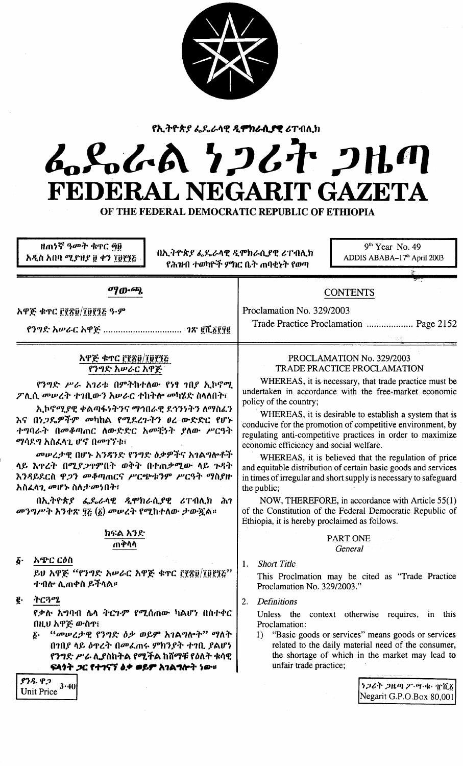

የኢትዮጵያ ፌዴራላዊ ዲ**ምክራሲያዊ** ሪፐብሊክ

# んぺんへん ケンムヤ クルの FEDERAL NEGARIT GAZETA

OF THE FEDERAL DEMOCRATIC REPUBLIC OF ETHIOPIA

ዘጠነኛ ዓመት ቁጥር ጝፀ አዲስ አበባ ሚያዝያ ፱ ቀን ፲፱፻፺፩

በኢትዮጵያ ፌዴራላዊ ዲሞክራሲያዊ ሪፐብሊክ የሕዝብ ተወካዮች ምክር ቤት ጠባቀኑት የወጣ

 $9<sup>th</sup> Year$  No. 49 ADDIS ABABA-17<sup>th</sup> April 2003

# ማውጫ

## አዋጅ ቁጥር ፫፻ጽ፱/፲፱፻፺፩ ዓ.ም

አዋጅ ቁጥር ፫፻፳፱/፲፱፻፺፭ የንግድ አሥራር አዋጅ

የንግድ ሥራ አገሪቱ በምትከተለው የነፃ ገበያ ኢኮኖሚ ፖሊሲ መሠረት ተገቢውን አሠራር ተከትሎ መካሄድ ስላለበት፣

ኢኮኖሚያዊ ቀልጣፋነትንና ማኅበራዊ ደኅንነትን ለማስፈን እና በነ*ጋ*ዴዎችም መካከል የሚደረጉትን ፀረ-ውድድር የሆኑ ተግባራት በመቆጣጠር ስውድድር አመቺነት ያለው ሥርዓት ማሳደግ አስፈላጊ ሆኖ በመገኘቱ፣

መሠረታዊ በሆኑ አንዳንድ የንግድ ዕቃዎችና አገልግሎቶች ላይ እዋረት በሚያጋዋምበት ወቅት በተጠቃሚው ላይ ጉዳት እንዳይደርስ ዋ*ጋን መቆ*ጣጠርና ሥርጭቱንም ሥርዓት ማስያዙ አስፈላጊ መሆኑ ስለ*ታመነ*በት፣

በኢትዮጵያ ፌዴራላዊ ዲሞክራሲያዊ ሪፐብሊክ ሕገ መንግሥት አንቀጽ ፶፩ (፩) መሠረት የሚከተለው ታውጇል።

## ክፍል አንድ ጠቅላላ

አጭር ርዕስ δ. ይህ አዋጅ ''የንግድ አሥራር አዋጅ ቁጥር ፫፻፳፱/፲፱፻፺፩'' ተብሎ ሊጠቀስ ይችላል።

ትርጓሜ ē٠

> የቃሉ አግባብ ሴላ ትር*ጉም የሚ*ሰጠው ካልሆነ በስተቀር በዚህ አዋጅ ውስዋ፤

> ፩· *"መሠረታ*ዊ የንግድ ዕቃ ወይም አገልግሎት" ማለት በኀበያ ላይ ዕተረት በመፈጠሩ ምክንያት ተገቢ ያልሆነ የንግድ ሥራ ሊያስከትል የሚችል ከሸማቹ የዕለት ቁሳዊ ፍላጎት ጋር የተገናኘ ልቃ ወይም አገልግሎት ነው።

ያንዱ ዋጋ Unit Price  $3.40$ 

# PROCLAMATION No. 329/2003 **TRADE PRACTICE PROCLAMATION**

Trade Practice Proclamation ................... Page 2152

**CONTENTS** 

Proclamation No. 329/2003

WHEREAS, it is necessary, that trade practice must be undertaken in accordance with the free-market economic policy of the country;

WHEREAS, it is desirable to establish a system that is conducive for the promotion of competitive environment, by regulating anti-competitive practices in order to maximize economic efficiency and social welfare.

WHEREAS, it is believed that the regulation of price and equitable distribution of certain basic goods and services in times of irregular and short supply is necessary to safeguard the public;

NOW, THEREFORE, in accordance with Article 55(1) of the Constitution of the Federal Democratic Republic of Ethiopia, it is hereby proclaimed as follows.

## PART ONE General

1. Short Title

This Proclmation may be cited as "Trade Practice Proclamation No. 329/2003."

2. Definitions

Unless the context otherwise requires, in this Proclamation:

 $1)$ "Basic goods or services" means goods or services related to the daily material need of the consumer, the shortage of which in the market may lead to unfair trade practice;

> ነጋሪት ጋዜጣ ፖ・ሣ・ቁ・ ፹ሺ፩ Negarit G.P.O.Box 80,001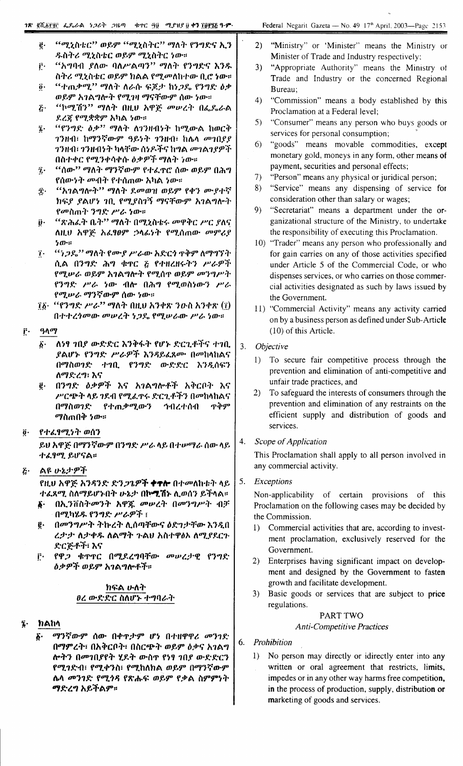- "ሚኒስቴር" ወይም "ሚኒስትር" ማለት የንግድና ኢን ġ. ዱስትሪ ሚኒስቴር ወይም ሚኒስትር ነው።
- "አግባብ ያለው ባለሥልጣን" ማለት የንግድና እንዱ ŕ٠ ስትሪ ሚኒስቴር ወይም ክልል የሚመለከተው ቢሮ **ነ**ው።
- "ተጠቃሚ" ማለት ለራሱ ፍጆታ ከነጋዴ የንግድ ዕቃ  $\ddot{\mathbf{0}}$ . ወይም አገልግሎት የሚገዛ ማናቸውም ሰው ነው።
- *''*ኮሚሽን'' ማለት በዚህ አዋጅ መሥረት በፌዴራል  $\tilde{c}$ .
- ደረጀ የሚቋቋም አካል ነው።
- "የንግድ *ዕቃ*" ማለት ለ1ንዘብነት ከሚውል ከወርቅ ĵ. ገንዘብ፣ ከማንኛውም ዓይነት ገንዘብ፣ ከሌላ መገበያያ ንንዘብ፣ ንንዘብነት ካላቸው ሰነዶችና ከግል *መገ*ልንያዎች በስተቀር የሚንቀሳቀሱ ዕቃዎች ማለት ነው።
- "ሳው'' ማለት ማንኛውም የተፈዋሮ ሰው ወይም በሕግ î. የሰው*ነት መ*ብት የተሰጠው አካል *ነ*ው።
- "አገልግሎት" ማለት ደመወዝ ወይም የቀን ሙያተኛ Î٠ ክፍያ ያልሆነ ገቢ የሚያስገኝ ማናቸውም አገልግሎት የመስጠት ንግድ ሥራ ነው።
- "ጽሕፈት ቤት" ማለት በሚኒስቴሩ መዋቅር ሥር ያለና  $\ddot{\boldsymbol{\theta}}$ . ለዚህ አዋጅ አፌፃፀም ኃላፊነት የሚሰጠው መምሪያ  $50...$
- "ነጋዴ'' ማለት የሙያ ሥራው አድርጎ ዋቅም ለማግኘት  $\tilde{\mathbf{I}}$ . ሲል በንግድ ሕግ ቁጥር ፩ የተዘረዘሩትን ሥራዎች የሚሥራ ወይም አገልግሎት የሚሰዋ ወይም መንግሥት የንግድ ሥራ ነው ብሎ በሕግ የሚወስነውን ሥራ የሚሥራ ማንኛውም ሰው ነው።
- $\underline{\tilde{\imath}\,\tilde{\imath}}$  "የንግድ ሥራ" ማለት በዚህ አንቀጽ ንውስ አንቀጽ  $(\underline{\tilde{\imath}})$ በተተረጎመው መሠረት ነጋዴ የሚሠራው ሥራ ነው።
- Ē٠ ዓላማ
	- $\vec{b}$ . ለነፃ ኀበያ ውድድር እንቅፋት የሆኑ ድርጊቶችና ተኀቢ ያልሆኑ የንግድ ሥራዎች እንዳይፈጸሙ በመከላከልና በማስወንድ ተገቢ የንግድ ውድድር እንዲሰፍን ለማድረግ፣ እና
	- በንግድ ዕቃዎች እና አገልግሎቶች አቅርቦት እና  $\vec{p}$ . ሥርጭት ላይ ንደብ የሚፈዋሩ ድርጊቶችን በመከላከልና በማስወንድ የተጠቃሚውን ንብረተሰብ ጥቅም *ማ*ስጠበቅ *ነ*ው።

#### $\ddot{\mathbf{0}}$ . የተፈፃሚነት ወሰን

ይህ አዋጅ በማንኛውም በንግድ ሥራ ላይ በተሥማራ ሰው ላይ ተፈፃሚ ይሆናል።

#### $\tilde{c}$ . ልዩ ሁኔታዎች

የዚህ አዋጅ አንዳንድ ድን*ጋጌዎች ተተሎ በተመ*ለከቱት ላይ ተፈጸሚ ስለማይሆኑበት ሁኔታ በኮሚሽኑ ሊወሰን ይችላል።

- በኢንቨስትመንት አዋጁ መሠረት በመንግሥት ብቻ በሚካሄዱ የንግድ ሥራዎች ፤
- በመንግሥት ትኩረት ሊሰጣቸውና ዕድገታቸው እንዲበ g. ረታታ ለታቀዱ ለልማት ጉልሀ አስተዋፅኦ ለሚያደርጉ ድርጅቶች፡ እና
- ፫· የዋ*ጋ* ቁጥኖር በሚደረግባቸው መሥረታዊ የንግድ *ዕቃዎች ወይም አገ*ልግሎቶች።

## ክፍል ሁለት ፀረ ውድድር ስለሆኑ ተግባራት

- ከልከላ
	- ማንኛውም ሰው በቀዋታም ሆነ በተዘዋዋሪ መንገድ ξ. በማምረት፣ በአቅርቦት፣ በስርጭት ወይም ዕቃና አገልግ ሎትን በመገበያየት ሂደት ውስጥ የነፃ ገበያ ውድድርን የሚገድብ፣ የሚቀንስ፣ የሚከለክል ወይም በማንኛውም ሴላ መንገድ የሚጎዳ የጽሑፍ ወይም የቃል ስምምነት ማድረግ አይችልም።
- "Ministry" or 'Minister" means the Ministry or  $2<sub>1</sub>$ Minister of Trade and Industry respectively;
- "Appropriate Authority" means the Ministry of  $3)$ Trade and Industry or the concerned Regional Bureau:
- $4)$ "Commission" means a body established by this Proclamation at a Federal level;
- $5)$ "Consumer" means any person who buys goods or services for personal consumption;
- "goods" means movable commodities, except 6) monetary gold, moneys in any form, other means of payment, securities and personal effects;
- $7)$ "Person" means any physical or juridical person;
- "Service" means any dispensing of service for 8) consideration other than salary or wages;
- $\mathbf{Q}$ "Secretariat" means a department under the organizational structure of the Ministry, to undertake the responsibility of executing this Proclamation.
- 10) "Trader" means any person who professionally and for gain carries on any of those activities specified under Article 5 of the Commercial Code, or who dispenses services, or who carries on those commercial activities designated as such by laws issued by the Government.
- 11) "Commercial Activity" means any activity carried on by a business person as defined under Sub-Article (10) of this Article.
- $3.$ Objective
	- 1) To secure fair competitive process through the prevention and elimination of anti-competitive and unfair trade practices, and
	- 2) To safeguard the interests of consumers through the prevention and elimination of any restraints on the efficient supply and distribution of goods and services.

#### Scope of Application 4.

This Proclamation shall apply to all person involved in any commercial activity.

5. Exceptions

> Non-applicability of certain provisions of this Proclamation on the following cases may be decided by the Commission.

- Commercial activities that are, according to invest- $\mathbf{D}$ ment proclamation, exclusively reserved for the Government.
- $2)$ Enterprises having significant impact on development and designed by the Government to fasten growth and facilitate development.
- 3) Basic goods or services that are subject to price regulations.

# PART TWO

## **Anti-Competitive Practices**

- 6. Prohibition
	- 1) No person may directly or idirectly enter into any written or oral agreement that restricts, limits, impedes or in any other way harms free competition, in the process of production, supply, distribution or marketing of goods and services.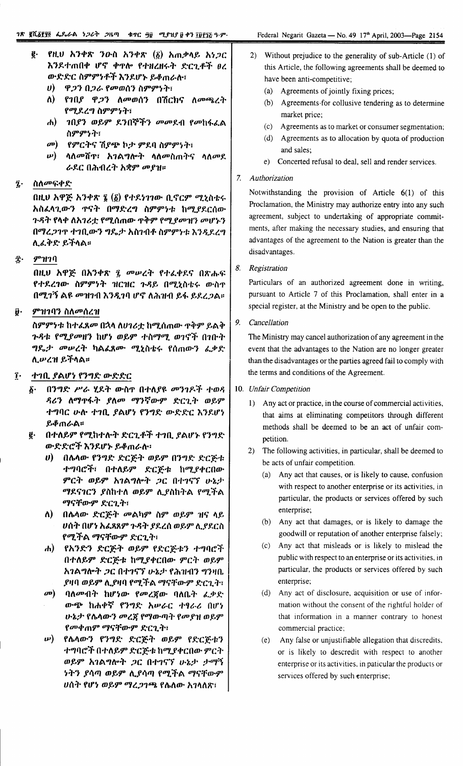- ዋ*ጋን በጋራ የመ*ወሰን ስምምነት፣  $\boldsymbol{\eta}$
- ለ) የገበያ ዋ*ጋ*ን ለመወሰን በሽርክና ለመጫረት የሚደረግ ስምምነት፣
- $\mathbf{d}$ *ገበያን ወይም ደንበኞችን መመደብ የመ*ከፋፈል ስምምንት፣
- $\mathbf{a}$ የምርትና ሽ*ያጭ* ኮታ ምደባ ስምምነት፣
- *ψ*) ሳለመሽዋ፣ አገልግሎት ሳለመስጠትና ሳለመደ ራዶር በሕብረት አቋም መያዝ።

#### ስለመፍቀድ î.

በዚህ አዋጅ አንቀጽ ፮ (፩) የተደነገገው ቢኖርም ሚኒስቴሩ አስፈላጊውን ዋናት በማድረግ ስምምነቱ ከሚያደርሰው ጉዳት የላቀ ለአገሪቷ የሚሰጠው **ዋቅም የሚ**ያመዝን መሆኑን በማረ*ጋገ*ጥ ተገቢውን ግጼታ አስገብቶ ስምምነቱ እንዲደረግ ሊፌቅድ ይችላል።

#### $$ π.

በዚህ አዋጅ በአንቀጽ ፯ መሥረት የተፈቀደና በጽሑፍ የተደረገው ስምምነት ዝርዝር ጉዳይ በሚኒስቴሩ ውስጥ በሚገኝ ልዩ መዝገብ እንዲገባ ሆኖ ለሕዝብ ይፋ ይደረጋል።

#### ምዝገባን ስለመሰረዝ Ũ۰

ስምምነቱ ከተፈጸ*መ* በኋላ ለሀገሪቷ ከሚሰጠው **ዋቅም ይልቅ** ጉዳቱ የሚያመዘን ከሆነ ወይም ተስማሚ ወገኖች በገቡት *ግ*ዴ*ታ መሠረት* ካልፈጸሙ ሚኒስቴሩ የሰጠውን ፈቃድ ሊሥረዝ ይችላል።

#### ተገቢ ያልሆነ የንግድ ውድድር  $\mathbf{r}$ .

- በንግድ ሥራ ሂደት ውስኖ በተለያዩ መንገዶች ተወዳ Х. ዳሪን ለማዋፋት ያለመ ማንኛውም ድርጊት ወይም ተግባር ሁሉ ተገቢ ያልሆነ የንግድ ውድድር እንደሆነ ይቆጠራል።
- ፪· በተለይም የሚከተሉት ድርጊቶች ተገቢ ያልሆኑ የንግድ ውድድሮች እንደሆኑ ይቆጠራሉ፡
	- ሀ) በሴላው የንግድ ድርጅት ወይም በንግድ ድርጅቱ ተግባሮች፣ በተለይም ድርጅቱ ከሚያቀርበው ምርት ወይም አገልግሎት *ጋ*ር በተገናኘ ሁኔታ ማዶናንርን ያስከተለ ወይም ሊያስከትል የሚችል ማናቸውም ድርጊት፣
	- ለ) በሌላው ድርጅት መልካም ስም ወይም ዝና ላይ ሀሰት በሆነ አፌጸጸም ጉዳት ያደረሰ ወይም ሊያደርስ የሚችል ማናቸውም ድርጊት፣
	- ሐ) የአንድን ድርጅት ወይም የድርጅቱን ተግባሮች በተለይም ድርጅቱ ከሚያቀርበው ምርት ወይም አገልግሎት ጋር በተገናኘ ሁኔታ የሕዝብን ግንዛቤ ያዛባ ወይም ሊያዛባ የሚችል ማናቸውም ድርጊት፣
	- መ) ባለመብት ከሆነው የመረጃው ባለቤት *ፌ*ቃድ ውጭ ከሐቀኛ የንግድ አሥራር ተፃራሪ በሆነ ሁኔታ የሴላውን መረጀ የማውጣት የመያዝ ወይም የመቀጠም ማናቸውም ድርጊት፣
	- *ሡ*) የሴላውን የንግድ ድርጅት ወይም የድርጅቱን ተግባሮች በተለይም ድርጅቱ ከሚያቀርበው ምርት ወይም አገልግሎት ጋር በተገናኘ ሁኔታ ታማኝ ነትን ያሳጣ ወይም ሊያሳጣ የሚችል ማናቸውም ሀሰት የሆነ ወይም ማረ*ጋገ*ጫ የሴስው አገላለጽ፣
- 2) Without prejudice to the generality of sub-Article (1) of this Article, the following agreements shall be deemed to have been anti-competitive;
	- (a) Agreements of jointly fixing prices;
	- (b) Agreements for collusive tendering as to determine market price:
	- (c) Agreements as to market or consumer segmentation;
	- (d) Agreements as to allocation by quota of production and sales:
	- e) Concerted refusal to deal, sell and render services.

## 7. Authorization

Notwithstanding the provision of Article 6(1) of this Proclamation, the Ministry may authorize entry into any such agreement, subject to undertaking of appropriate commitments, after making the necessary studies, and ensuring that advantages of the agreement to the Nation is greater than the disadvantages.

8. Registration

Particulars of an authorized agreement done in writing, pursuant to Article 7 of this Proclamation, shall enter in a special register, at the Ministry and be open to the public.

9. Cancellation

The Ministry may cancel authorization of any agreement in the event that the advantages to the Nation are no longer greater than the disadvantages or the parties agreed fail to comply with the terms and conditions of the Agreement.

- 10. Unfair Competition
	- 1) Any act or practice, in the course of commercial activities, that aims at eliminating competitors through different methods shall be deemed to be an act of unfair competition.
	- 2) The following activities, in particular, shall be deemed to be acts of unfair competition.
		- (a) Any act that causes, or is likely to cause, confusion with respect to another enterprise or its activities, in particular, the products or services offered by such enterprise;
		- (b) Any act that damages, or is likely to damage the goodwill or reputation of another enterprise falsely;
		- (c) Any act that misleads or is likely to mislead the public with respect to an enterprise or its activities, in particular, the products or services offered by such enterprise;
		- (d) Any act of disclosure, acquisition or use of information without the consent of the rightful holder of that information in a manner contrary to honest commercial practice;
		- (e) Any false or unjustifiable allegation that discredits, or is likely to descredit with respect to another enterprise or its activities, in paticular the products or services offered by such enterprise;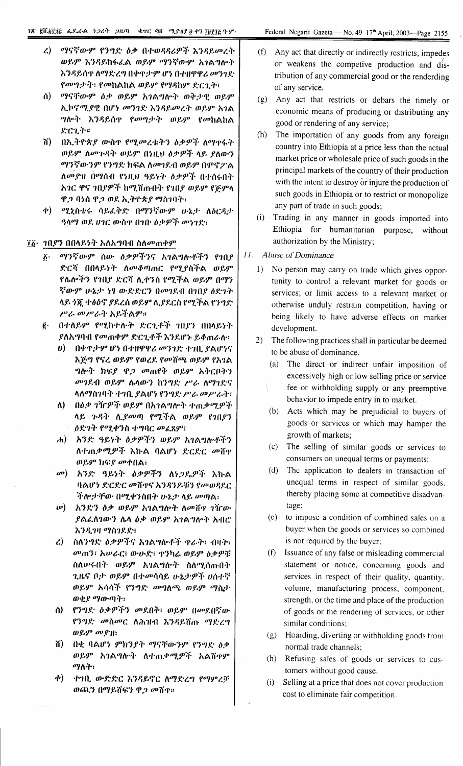- ማናኛውም የንግድ ዕቃ በተወዳዳሪዎች እንዳይመረት  $\mathcal{L}$ ) ወይም እንዳይከፋፈል ወይም ማንኛውም አገልግሎት እንዳይሰጥ ለማድረግ በቀጥታም ሆነ በተዘዋዋሪ መንገድ የመግታት፣ የመከልከል ወይም የማዳከም ድርጊት፣
- ሰ) ማናቸውም ዕቃ ወይም አገልግሎት ወቅታዊ ወይም ኢኮኖሚያዊ በሆነ መንገድ እንዳይመረት ወይም አገል ግሎት እንዳይሰዋ የመግታት ወይም የመከልከል  $\mathcal{KCL}$   $\ddot{T}$   $\ddot{=}$
- ሽ) በኢትዮጵያ ውስዋ የሚመረቱትን ዕቃዎች ለማዋፋት ወይም ለመጉዳት ወይም በነዚህ ዕቃዎች ላይ ያለውን ማንኛውንም የንግድ ክፍል ለመገደብ ወይም በሞኖፖል ለመያዝ በማሰብ የነዚህ ዓይነት ዕቃዎች በተሰሩበት አገር ዋና ገበያዎች ከሚሸጡበት የገበያ ወይም የጅምላ ዋጋ ባነሰ ዋጋ ወደ ኢትዮጵያ ማስገባት፣
- ቀ) ሚኒስቴሩ ሳይፌቅድ በማንኛውም ሁኔታ ለዕርዳታ ዓላማ ወደ ሀገር ውስዋ በገበ ዕቃዎች መነገድ፣

## ፲፩ - 2በይን በበላይነት አለአግባብ ስለመጠቀም

- ማንኛውም ሰው ዕቃዎችንና አገልግሎቶችን የገቢያ δ. ድርሻ በበላይነት ለመቆጣጠር የሚያስችል ወይም የሌሎችን የኀበያ ድርሻ ሊቀንስ የሚችል ወይም በማን ኛውም ሁኔታ ነፃ ውድድርን በመገደብ በገበያ ዕድገት ላይ ጎጇ ተፅዕኖ ያደረሰ ወይም ሲያደርስ የሚችል የንግድ ሥራ መሥራት አይችልም።
- e በተለይም የሚከተሉት ድርጊቶች *1*በያን በበላይነት ያለአግባብ የመጠቀም ድርጊቶች እንደሆኑ ይቆጠራሉ።
	- ሀ) በቀዋታም ሆነ በተዘዋዋሪ መንገድ ተገቢ ያልሆነና እጅግ የናረ ወይም የወረደ የመሸጫ ወይም የአገል ግሎት ክፍያ ዋ*ጋ መ*ጠየቅ ወይም አቅርቦትን መገደብ ወይም ሴላውን ከንግድ ሥራ ለማገድና ላለማስገባት ተገቢ ያልሆነ የንግድ ሥራ መሥራት፣
	- ለ) በዕቃ ገኘrዎች ወይም በአገልግሎት ተጠቃሚዎች ላይ ጉዳት ሊያመጣ የሚችል ወይም የነበያን *ዕድገት የሚቀንስ ተግባር መሬጸም*፣
	- ሐ) አንድ ዓይነት ዕቃዎችን ወይም አገልግሎቶችን ለተጠቃሚዎች እኩል ባልሆነ ድርድር መሸዋ ወይም ክፍያ መቀበል፣
	- መ) አንድ ዓይነት ዕቃዎችን ለነጋዴዎች እኩል ባልሆነ ድርድር መሽዋና እንዳንዶቹን የመወዳደር ችሎ*ታቸው በሚቀን*ስበት ሁኔታ ላይ መጣል፣
	- **ω) አንድን ዕቃ ወይም አገልግሎት ለመሸ**ዋ ገዥው ያልፌስገውን ሴሳ ዕቃ ወይም አገልግሎት አብሮ እንዲገዛ ማስገደድ፣
	- ረ) ስለንግድ ዕቃዎችና አገልግሎቶች ዋራት፣ ብዛት፣ መጠን፣ አሠራር፣ ውሁድ፣ ዋንካሬ ወይም ዕቃዎቹ ስለሥሩበት ወይም አገልግሎት ስለሚሰጡበት ጊዜና ቦ*ታ ወ*ይም በተመሳሳይ ሁኔታዎች ሀሰተኛ ወይም አሳሳች የንግድ መግለጫ ወይም ማስታ ወቂያ ማውጣት፣
	- ስ) የንግድ ዕቃዎችን መደበቅ፣ ወይም በመደበኛው የንግድ መስመር ለሕዝብ እንዳይሸጡ ማድረግ ወይም መያዝ፣
	- በቂ ባልሆነ ምክንያት ማናቸውንም የንግድ ዕቃ ሽ) -ወይም አገልግሎት ለተጠቃሚዎች አልሸዋም ማለት፣
	- ቀ) ተገቢ ውድድር እንዳይኖር ለማድረግ የማምረቻ ወጪን በማይሸፍን ዋ*ጋ መ*ሸዋ።
- (f) Any act that directly or indirectly restricts, impedes or weakens the competive production and distribution of any commercial good or the renderding of any service.
- (g) Any act that restricts or debars the timely or economic means of producing or distributing any good or rendering of any service;
- (h) The importation of any goods from any foreign country into Ethiopia at a price less than the actual market price or wholesale price of such goods in the principal markets of the country of their production with the intent to destroy or injure the production of such goods in Ethiopia or to restrict or monopolize any part of trade in such goods;
- (i) Trading in any manner in goods imported into Ethiopia for humanitarian purpose, without authorization by the Ministry;
- $II.$ Abuse of Dominance
	- 1) No person may carry on trade which gives opportunity to control a relevant market for goods or services; or limit access to a relevant market or otherwise unduly restrain competition, having or being likely to have adverse effects on market development.
	- $(2)$ The following practices shall in particular be deemed to be abuse of dominance.
		- (a) The direct or indirect unfair imposition of excessively high or low selling price or service fee or withholding supply or any preemptive behavior to impede entry in to market.
		- (b) Acts which may be prejudicial to buvers of goods or services or which may hamper the growth of markets;
		- (c) The selling of similar goods or services to consumers on unequal terms or payments;
		- (d) The application to dealers in transaction of unequal terms in respect of similar goods, thereby placing some at competitive disadvantage;
		- (e) to impose a condition of combined sales on a buyer when the goods or services so combined is not required by the buyer;
		- (f) Issuance of any false or misleading commercial statement or notice, concerning goods and services in respect of their quality, quantity, volume, manufacturing process, component, strength, or the time and place of the production of goods or the rendering of services, or other similar conditions;
		- (g) Hoarding, diverting or withholding goods from normal trade channels;
		- (h) Refusing sales of goods or services to customers without good cause.
		- Selling at a price that does not cover production  $(i)$ cost to eliminate fair competition.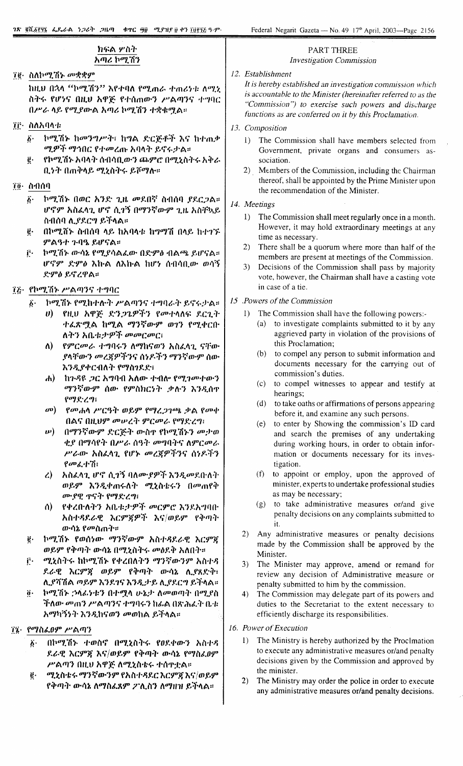any administrative measures or/and penalty decisions.

#### ክፍል ሦስት PART THREE አጣሪ ኮሚሽን **Investigation Commission** 12. Establishment 7ể· ስለኮሚሽኑ መቋቋም It is hereby established an investigation commission which ከዚህ በኋላ ''ኮሚሽን'' እየተባለ የሚጠራ ተጠሪነቱ ለሚኒ is accountable to the Minister (hereinafter referred to as the ስትሩ የሆነና በዚህ አዋጅ የተሰጠውን ሥልጣንና ተግባር "Commission") to exercise such powers and discharge በሥራ ላይ የሚያውል አጣሪ ኮሚሽን ተቋቁሟል። functions as are conferred on it by this Proclamation. **TF** ስለአባላቱ 13. Composition ኮሚሽኑ ከመንግሥት፣ ከግል ድርጅቶች እና ከተጠቃ  $\vec{b}$ . 1) The Commission shall have members selected from ሚዎች ማኅበር የተመረጡ አባላት ይኖሩታል። Government, private organs and consumers as-የኮሚሽኑ አባላት ስብሳቢውን ጨምሮ በሚኒስትሩ አቅራ  $\ddot{\boldsymbol{e}}$ . sociation. ቢነት በጠቅላይ ሚኒስትሩ ይሾማሉ። 2) Members of the Commission, including the Chairman thereof, shall be appointed by the Prime Minister upon  $70 - 0.000$ the recommendation of the Minister. ኮሚሽኑ በወር አንድ ጊዜ መደበኛ ስብሰባ ያደርጋል።  $\hat{b}$ . 14. Meetings ሆኖም አስፈላጊ ሆኖ ሲገኝ በማንኛውም ጊዜ አስቸኳይ  $1)$ The Commission shall meet regularly once in a month. ስብሰባ ሊያደርግ ይችላል። However, it may hold extraordinary meetings at any - በኮሚሽኑ ስብሰባ ላይ ከአባላቱ ከማማሽ በላይ ከተገኙ ĝ. time as necessary. ምልዓተ ጉባዔ ይሆናል።  $(2)$ There shall be a quorum where more than half of the ኮሚሽኑ ውሳኔ የሚያሳልፌው በድምፅ ብልጫ ይሆናል። ŕ٠ members are present at meetings of the Commission. ሆኖም ድምዕ እኩል ለእኩል ከሆነ ሰብሳቢው ወሳኝ  $3)$ Decisions of the Commission shall pass by majority ድምዕ ይኖረዋል። vote, however, the Chairman shall have a casting vote in case of a tie. ፲፩· የኮሚሽኑ ሥልጣንና ተግባር 15 .Powers of the Commission ኮሚሽኑ የሚከተሱት ሥልጣንና ተግባራት ይኖሩታል።  $\delta$ . . የዚህ አዋጅ *ድንጋጌዎችን የመተ*ላለፍ ደርጊት 1) The Commission shall have the following powers:- $\boldsymbol{n}$ (a) to investigate complaints submitted to it by any ተፈጽሟል ከሚል ማንኛውም ወገን የሚቀርቡ ለትን አቤቱታዎች መመርመር፤ aggrieved party in violation of the provisions of this Proclamation;  $\Lambda$ ) የምርመራ ተግባሩን ለማከናወን አስፈላጊ ናቸው (b) to compel any person to submit information and ያላቸውን መረጃዎችንና ሰነዶችን ማንኛውም ሰው documents necessary for the carrying out of እንዲያቀርብለት የማስገደደ፣ commission's duties. ከጉዳዩ ጋር አግባብ አለው ተብሎ የሚገሙተውን  $\mathbf{h}$ (c) to compel witnesses to appear and testify at ማንኛውም ሰው የምስክርነት ቃሉን እንዲሰዋ hearings; የማድረግ፡ (d) to take oaths or affirmations of persons appearing  $\omega$ ) *የመ*ሐሳ ሥርዓት ወይም የማረ*ጋገ*ጫ ቃል የመቀ before it, and examine any such persons. በልና በዚህም መሠረት ምርመራ የማድረግ፣ (e) to enter by Showing the commission's ID card *ν*) በማንኛውም ድርጅት ውስዋ የኮሚሽኑን መታወ and search the premises of any undertaking ቂያ በማሳየት በሥራ ሰዓት መግባትና ለምርመራ during working hours, in order to obtain infor-ሥራው አስፈላጊ የሆኑ መረጀዎችንና ሰነዶችን mation or documents necessary for its inves- $\mathcal{C}$   $\mathcal{C}$   $\mathcal{C}$   $\mathcal{C}$   $\mathcal{C}$   $\mathcal{C}$   $\mathcal{C}$   $\mathcal{C}$   $\mathcal{C}$   $\mathcal{C}$   $\mathcal{C}$   $\mathcal{C}$   $\mathcal{C}$   $\mathcal{C}$   $\mathcal{C}$   $\mathcal{C}$   $\mathcal{C}$   $\mathcal{C}$   $\mathcal{C}$   $\mathcal{C}$   $\mathcal{C}$   $\mathcal{C}$   $\mathcal{C}$   $\mathcal{C}$   $\mathcal{$ tigation. (f) to appoint or employ, upon the approved of ረ) እስፌሳጊ ሆኖ ሲገኝ ባለሙያዎች እንዲመደበለት minister, experts to undertake professional studies ወይም እንዲቀጠሩለት ሚኒስቴሩን በመጠየቅ as may be necessary; ሙያዊ ጥናት የማድረግ፡ (g) to take administrative measures or/and give የቀረበነለትን አቤቱታዎች መርምሮ እንደአግባበ ለ) penalty decisions on any complaints submitted to አስተዳደራዊ እርምጀዎች እና/ወይም የቅጣት it. ውሳኔ የ*መ*ስጠት። 2) Any administrative measures or penalty decisions ኮሚሽኑ የወሰነው ማንኛውም አስተዳደራዊ እርምጀ ë. made by the Commission shall be approved by the ወይም የቅጣት ውሳኔ በሚኒስትሩ መዕደቅ አለበት። Minister. ሚኒስትሩ ከኮሚሽኑ የቀረበለትን ማንኛውንም አስተዳ ŕ٠ 3) The Minister may approve, amend or remand for ደራዊ እርምጃ ወይም የቅጣት ውሳኔ ሊያጸድቅ፥ review any decision of Administrative measure or ሊያሻሽል ወይም እንደገና እንዲታይ ሊያደርግ ይችላል። penalty submitted to him by the commission. ኮሚሽኑ ኃላፊነቱን በተሟላ ሁኔታ ለመወጣት በሚያስ ö.  $4)$ The Commission may delegate part of its powers and ችለው መጠን ሥልጣንና ተግባሩን ከፊል በጽሕፈት ቤቱ duties to the Secretariat to the extent necessary to efficiently discharge its responsibilities. አማካኝንት እንዲከናወን መወከል ይችላል። 16. Power of Execution ፲፯• የማስፌፀም ሥልጣን 1) The Ministry is hereby authorized by the Proclmation በኮሚሽኑ ተወስኖ በሚኒስትሩ የዐደቀውን አስተዳ  $\overline{\mathbf{b}}$ . to execute any administrative measures or/and penalty ደራዊ እርምጃ እና/ወይም የቅጣት ውሳኔ የማስፈፀም decisions given by the Commission and approved by ሥልጣን በዚህ አዋጅ ለሚኒስቴሩ ተሰዋቷል። the minister. ሚኒስቴሩ ማንኛውንም የአስተዳደር እርምጃ እና/ወይም ë.  $2)$ The Ministry may order the police in order to execute የቅጣት ውሳኔ ለማስፈጸም ፖሊስን ለማዘዝ ይችላል።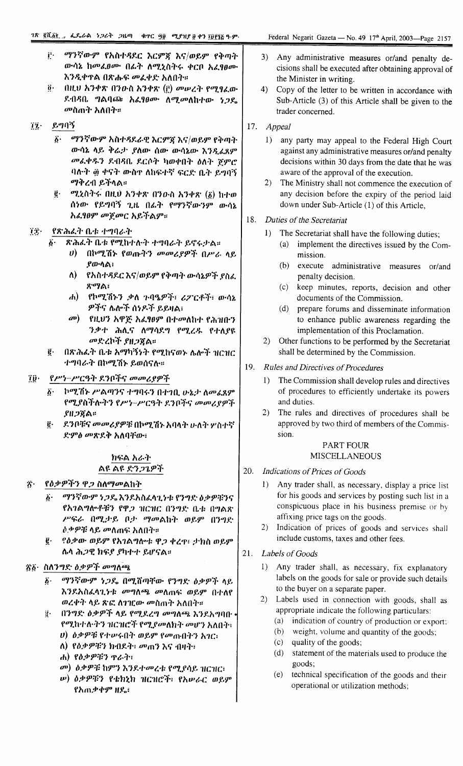- ማንኛውም የአስተዳደር እርምጃ እና/ወይም የቅጣት ŕ٠. ውሳኔ ከመፈፀሙ በፊት ለሚኒስትሩ ቀርቦ አፈፃፀሙ እንዲቀዋል በጽሑፍ መፈቀድ አለበት።
- $\vec{p}$ . በዚህ አንቀጽ በንዑስ አንቀጽ (f) መሠረት የሚፃፈው ደብዳቤ ግልባጩ አፈፃፀሙ ለሚመለከተው ነጋዴ *መ*ስጠት አለበት።
- $72 -$ ይግባኝ
	- ፩· ማንኛውም አስተዳደራዊ እርምጃ እና/ወይም የቅጣት ውሳኔ ላይ ቅሬታ ያለው ሰው ውሳኔው እንዲፈጸም መፈቀዱን ደብዳቤ ደርሶት ካወቀበት ዕለት ጀምሮ ባሉት ፴ ቀናት ውስኖ ለከፍተኛ ፍርድ ቤት ይግባኝ ማቅረብ ይችላል።
	- *ሚኒ*ስትሩ በዚህ አንቀጽ በንውስ አንቀጽ ( $\delta$ ) ከተወ  $\vec{e}$ . ሰነው የይግባኝ ጊዜ በፊት የማንኛውንም ውሳኔ አሬ90ም መጀመር አይችልም።

#### TŦ. የጽሕፈት ቤቱ ተግባራት

- $\boldsymbol{\delta}$ . ጽሕፌት ቤቱ የሚከተሉት ተግባራት ይኖሩታል።
	- $\boldsymbol{\theta}$ ) - በኮሚሽኑ የወጡትን *መመሪያዎች* በሥራ ላይ ያውሳል፥
	- $\Lambda$ ) የአስተዳደር እና/ወይም የቅጣት ውሳኔዎች ያስፈ ጽማል፣
	- ሐ) የኮሚሽኑን ቃለ ጉባዔዎች፣ ሪፖርቶች፣ ውሳኔ ዎችና ሌሎች ሰነዶች ይይዛል፣
	- መ) የዚህን አዋጅ አፈፃፀም በተመለከተ የሕዝቡን ንቃተ ሕሊና ለማሳደግ የሚረዱ የተለያዩ መድረኮች ያዘጋጀል።
- በጽሕፈት ቤቱ አማካኝነት የሚከናወኑ ሌሎች ዝርዝር ë. ተግባራት በኮሚሽኑ ይወሰናሉ።

የሥነ-ሥርዓት ደንቦችና መመሪያዎች  $\tilde{\mathbf{I}}\tilde{\mathbf{U}}$ 

- $\vec{b}$ . ኮሚሽኑ ሥልጣንና ተግባሩን በተገቢ ሁኔታ ለመፈጸም የሚያስችሉትን የሥነ-ሥርዓት ደንቦችና መመሪያዎች  $$H$   $$R$   $\alpha$   $\approx$
- ፪· ደንቦቹና መመሪያዎቹ በኮሚሽኑ አባላት ሁለት ሦስተኛ ድምፅ መጽደቅ አለባቸው፣

## ክፍል አራት ልዩ ልዩ ድንጋጌዎች

- የዕቃዎችን ዋ*ጋ* ስለማመልከት  $\vec{A}$ 
	- $\ddot{\bm{b}}$ . ማንኛውም ነጋዴ እንደአስፈላጊነቱ የንግድ ዕቃዎቹንና የአገልግሎቶቹን የዋጋ ዝርዝር በንግድ ቤቱ በግልጽ ሥፍራ በሚታይ ቦታ ማመልከት ወይም በንግድ ልቃዎቹ ላይ መለጠፍ አለበት።
	- ፪· የዕቃው ወይም የአገልግሎቱ ዋጋ ቀረዋ፣ ታክስ ወይም ሌላ ሕጋዊ ክፍያ ያካተተ ይሆናል።

## ፳፩∙ ስለንግድ ዕቃዎች መግለጫ

- ማንኛውም ነጋዴ በሚሸጣቸው የንግድ ዕቃዎች ላይ  $\delta$  . እንደአስፈላጊነቱ መግለጫ መለጠፍ ወይም በተለየ ወረቀት ላይ ጽፎ ስገዢው መስጠት አለበት።
- በንግድ ዕቃዎች ላይ የሚደረግ መግለጫ እንደአግባበ  $\mathbf{g}$ . የሚከተሉትን ዝርዝሮች የሚያመለክት መሆን አለበት፡ ሀ) ዕቃዎቹ የተሥሩበት ወይም የመጡበትን አገር፡
	- ለ) የዕቃዎቹን ክብደት፣ መጠን እና ብዛት፣
	- ሐ) የዕቃዎቹን ዋራት፣
	- መ) ዕቃዎቹ ከምን እንደተመረቱ የሚያሳይ ዝርዝር፣
	- *ψ) ዕቃዎቹን የቴክኒክ ዝርዝሮች፡ የአሡራር ወይም* የአጠቃቀም ዘዴ፣
- Any administrative measures or/and penalty de- $3)$ cisions shall be executed after obtaining approval of the Minister in writing.
- 4) Copy of the letter to be written in accordance with Sub-Article (3) of this Article shall be given to the trader concerned.
- 17. Appeal
	- 1) any party may appeal to the Federal High Court against any administrative measures or/and penalty decisions within 30 days from the date that he was aware of the approval of the execution.
	- 2) The Ministry shall not commence the execution of any decision before the expiry of the period laid down under Sub-Article (1) of this Article,
- 18. Duties of the Secretariat
	- 1) The Secretariat shall have the following duties;
		- (a) implement the directives issued by the Commission.
		- $(b)$ execute administrative measures or/and penalty decision.
		- $(c)$ keep minutes, reports, decision and other documents of the Commission.
		- $(d)$ prepare forums and disseminate information to enhance public awareness regarding the implementation of this Proclamation.
	- 2) Other functions to be performed by the Secretariat shall be determined by the Commission.
- 19. Rules and Directives of Procedures
	- 1) The Commission shall develop rules and directives of procedures to efficiently undertake its powers and duties.
	- $2)$ The rules and directives of procedures shall be approved by two third of members of the Commission.

## **PART FOUR MISCELLANEOUS**

- 20. Indications of Prices of Goods
	- Any trader shall, as necessary, display a price list  $\mathbf{D}$ for his goods and services by posting such list in a conspicuous place in his business premise or by affixing price tags on the goods.
	- 2) Indication of prices of goods and services shall include customs, taxes and other fees.
- 21. Labels of Goods
	- 1) Any trader shall, as necessary, fix explanatory labels on the goods for sale or provide such details to the buyer on a separate paper.
	- 2) Labels used in connection with goods, shall as appropriate indicate the following particulars:
		- (a) indication of country of production or export;
		- (b) weight, volume and quantity of the goods;
		- (c) quality of the goods;
		- (d) statement of the materials used to produce the goods;
		- technical specification of the goods and their  $(e)$ operational or utilization methods;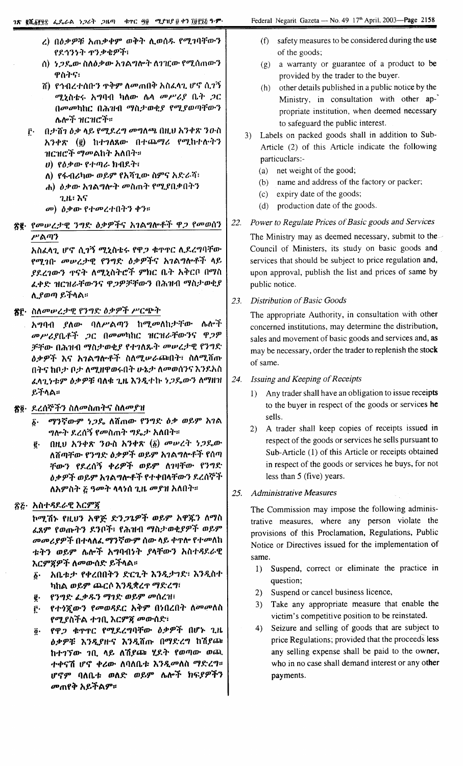- ረ) በዕቃዎቹ አጠቃቀም ወቅት ሊወሰዱ የሚገባቸውን የደኅንነት ዋንቃቄዎች፣
- ስ) *ነጋ*ዴው ስለዕቃው አገልግሎት ለገዢው የሚሰጠውን ዋስትና፣
- ሽ) የኅብረተሰቡን ዋቅም ለመጠበቅ አስፈላጊ ሆኖ ሲገኝ ሚኒስቴሩ አግባብ ካለው ሌላ መሥሪያ ቤት ጋር በመመካከር በሕዝብ ማስታወቂያ የሚያወጣቸውን ሌሎች ዝርዝሮች።
- $\mathbf{\hat{r}}$ . በታሸነ ስቃ ላይ የሚደረግ መግለጫ በዚህ አንቀጽ ንዑስ አንቀጽ (፪) ከተገለጸው በተጨማሪ የሚከተሉትን ዝርዝሮች *ማመ*ልከት አለበት።
	- $v$ ) የዕቃው የተጣራ ክብደት፣
	- ለ) የፋብሪካው ወይም የአሻጊው ስምና አድራሻ፣
	- ሐ) ዕቃው አገልግሎት መስጠት የሚያበቃበትን ጊዜ፡ እና
	- መ) ዕቃው የተመረተበትን ቀን።
- ጽ፪· የመሠረታዊ ንግድ ዕቃዎችና አገልግሎቶች ዋ*ጋ* የመወሰን ሥልጣን

አስፈላጊ ሆኖ ሲገኝ ሚኒስቴሩ የዋጋ ቁጥኖር ሲደረግባቸው የሚገቡ መሠረታዊ የንግድ ዕቃዎችና አገልግሎቶች ላይ ያደረገውን ዋናት ለሚኒስትሮች ምክር ቤት አቅርቦ በማስ ፈቀድ ዝርዝራቸውንና ዋጋዎቻቸውን በሕዝብ ማስታወቂያ ሊያወጣ ይችላል።

ኛሮ· ስለመሠረታዊ የንግድ ዕቃዎች ሥርጭት

አግባብ ያለው ባለሥልጣን ከሚመለከታቸው ሌሎች መሥሪያቤቶች ጋር በመመካከር ዝርዝራቸውንና ዋጋዎ ቻቸው በሕዝብ ማስታወቂያ የተገለጹት መሠረታዊ የንግድ *ዕቃዎች እና አገልግ*ሎቶች ስለ*ሚ*ሥራጮበት፣ ስለሚሸጡ በትና ከቦታ ቦታ ለሚዘዋወሩበት ሁኔታ ለመወሰንና እንደአስ ፈላጊነቱም ዕቃዎቹ ባለቁ ጊዜ እንዲተኩ ነጋጼውን ለማዘዝ ይችላል።

# ጽ፬· ደረሰኞችን ስለመስጠትና ስለመያዝ

- δ· ማንኛውም ነ*ጋ*ዴ ለሽጠው የንግድ ዕቃ ወይም አገል *ግ*ሎት ደረሰኝ የመስጠት ግዴታ አለበት።
- $(0)$   $(1)$   $(1)$   $(2)$   $(3)$   $(2)$   $(4)$   $(5)$   $(5)$   $(6)$   $(7)$   $(8)$   $(7)$   $(8)$   $(9)$ ē. ለሽጣቸው የንግድ ዕቃዎች ወይም አገልግሎቶች የሰጣ ቸውን የደረሰኝ ቀሪዎች ወይም ለገዛቸው የንግድ ዕቃዎች ወይም አገልግሎቶች የተቀበላቸውን ደረሰኞች ለአምስት ፩ ዓመት ላላነሰ ጊዜ መያዝ አለበት።

# ፳፩· አስተዳደራዊ እርምጃ

ኮሚሽኑ የዚህን አዋጅ ድን*ጋጌዎች ወይም አዋጁን ለማ*ስ ፈጸም የወጡትን ደንቦች፣ የሕዝብ ማስታወቂያዎች ወይም *መመሪያዎች* በተላለፈ <mark>ማንኛውም</mark> ሰው ላይ ቀዋሎ የተመለከ ቱትን ወይም ሌሎች አግባብነት ያላቸውን አስተዳደራዊ እርምጃዎች ለመውሰድ ይችላል።

- ፩· አቤቱታ የቀረበበትን ድርጊት እንዲታገድ፣ እንዲስተ ካከል ወይም ጨርሶ እንዲቋረጥ ማድረግ፣
- የንግድ ፌቃዱን ማገድ ወይም መሰረዝ፣ ą.
- የተጎጀውን የመወዳደር አቅም በነበረበት ለመመለስ ŗ٠ የሚያስችል ተገቢ እርምጃ መውሰድ፣
- የዋጋ ቁጥጥር የሚደረግባቸው ዕቃዎች በሆኑ ጊዜ  $\overline{\mathbf{0}}$ . ዕቃዎቹ እንዲያዙና እንዲሸጡ በማድረግ ከሽያጩ ከተገኘው ገቢ ላይ ለሽያጩ ሂደት የወጣው ወጪ ተቀናሽ ሆኖ ቀሪው ለባለቤቱ እንዲመለስ ማድረግ። ሆኖም ባለቤቱ ወለድ ወይም ሌሎች ክፍያዎችን *መ*ጠየቅ አይችልም።
- safety measures to be considered during the use  $(f)$ of the goods;
- $(g)$  a warranty or guarantee of a product to be provided by the trader to the buyer.
- (h) other details published in a public notice by the Ministry, in consultation with other appropriate institution, when deemed necessary to safeguard the public interest.
- 3) Labels on packed goods shall in addition to Sub-Article (2) of this Article indicate the following particuclars:-
	- (a) net weight of the good;
	- (b) name and address of the factory or packer;
	- (c) expiry date of the goods;
	- production date of the goods.  $(d)$

### Power to Regulate Prices of Basic goods and Services 22.

The Ministry may as deemed necessary, submit to the Council of Ministers, its study on basic goods and services that should be subject to price regulation and, upon approval, publish the list and prices of same by public notice.

#### **Distribution of Basic Goods** 23.

The appropriate Authority, in consultation with other concerned institutions, may determine the distribution, sales and movement of basic goods and services and, as may be necessary, order the trader to replenish the stock of same.

#### 24. Issuing and Keeping of Receipts

- 1) Any trader shall have an obligation to issue receipts to the buyer in respect of the goods or services he sells.
- 2) A trader shall keep copies of receipts issued in respect of the goods or services he sells pursuant to Sub-Article (1) of this Article or receipts obtained in respect of the goods or services he buys, for not less than 5 (five) years.

#### 25. **Administrative Measures**

The Commission may impose the following administrative measures, where any person violate the provisions of this Proclamation, Regulations, Public Notice or Directives issued for the implementation of same.

- 1) Suspend, correct or eliminate the practice in question;
- Suspend or cancel business licence,  $(2)$
- 3) Take any appropriate measure that enable the victim's competitive position to be reinstated.
- Seizure and selling of goods that are subject to  $4)$ price Regulations; provided that the proceeds less any selling expense shall be paid to the owner, who in no case shall demand interest or any other payments.